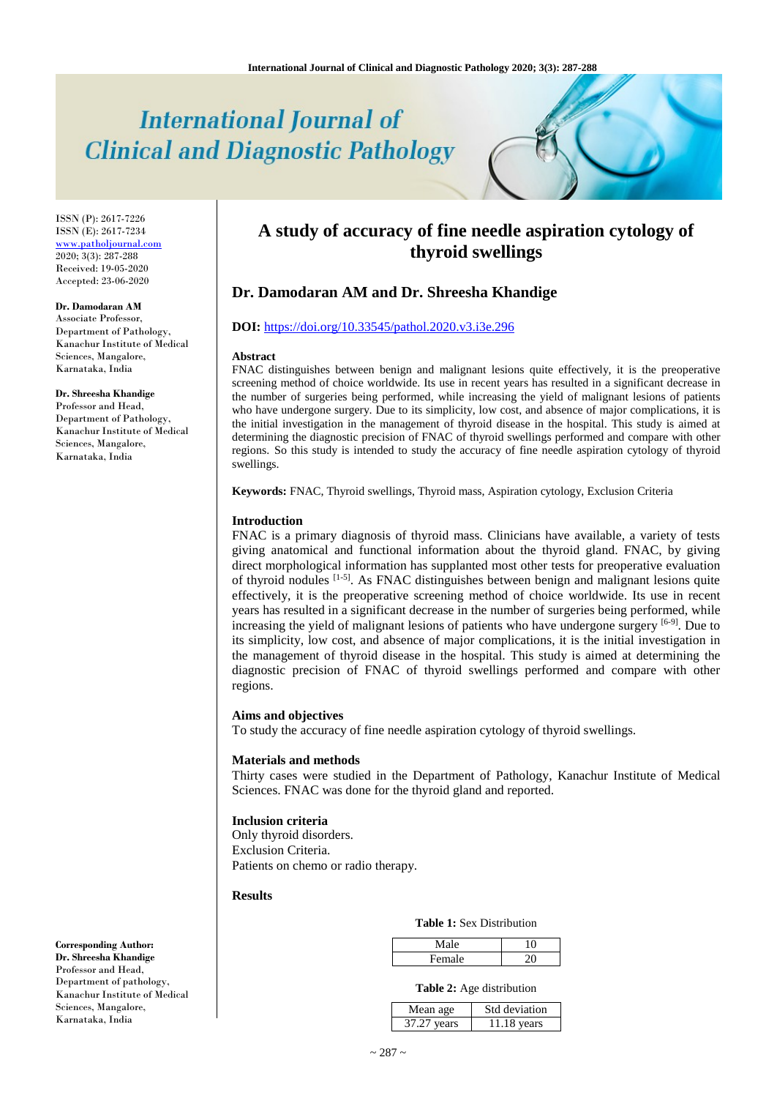# **International Journal of Clinical and Diagnostic Pathology**

ISSN (P): 2617-7226 ISSN (E): 2617-7234 [www.patholjournal.com](http://www.patholjournal.com/) 2020; 3(3): 287-288 Received: 19-05-2020 Accepted: 23-06-2020

#### **Dr. Damodaran AM**

Associate Professor, Department of Pathology, Kanachur Institute of Medical Sciences, Mangalore, Karnataka, India

#### **Dr. Shreesha Khandige**

Professor and Head, Department of Pathology, Kanachur Institute of Medical Sciences, Mangalore, Karnataka, India

# **A study of accuracy of fine needle aspiration cytology of thyroid swellings**

## **Dr. Damodaran AM and Dr. Shreesha Khandige**

### **DOI:** <https://doi.org/10.33545/pathol.2020.v3.i3e.296>

#### **Abstract**

FNAC distinguishes between benign and malignant lesions quite effectively, it is the preoperative screening method of choice worldwide. Its use in recent years has resulted in a significant decrease in the number of surgeries being performed, while increasing the yield of malignant lesions of patients who have undergone surgery. Due to its simplicity, low cost, and absence of major complications, it is the initial investigation in the management of thyroid disease in the hospital. This study is aimed at determining the diagnostic precision of FNAC of thyroid swellings performed and compare with other regions. So this study is intended to study the accuracy of fine needle aspiration cytology of thyroid swellings.

**Keywords:** FNAC, Thyroid swellings, Thyroid mass, Aspiration cytology, Exclusion Criteria

#### **Introduction**

FNAC is a primary diagnosis of thyroid mass. Clinicians have available, a variety of tests giving anatomical and functional information about the thyroid gland. FNAC, by giving direct morphological information has supplanted most other tests for preoperative evaluation of thyroid nodules <sup>[1-5]</sup>. As FNAC distinguishes between benign and malignant lesions quite effectively, it is the preoperative screening method of choice worldwide. Its use in recent years has resulted in a significant decrease in the number of surgeries being performed, while increasing the yield of malignant lesions of patients who have undergone surgery [6-9]. Due to its simplicity, low cost, and absence of major complications, it is the initial investigation in the management of thyroid disease in the hospital. This study is aimed at determining the diagnostic precision of FNAC of thyroid swellings performed and compare with other regions.

#### **Aims and objectives**

To study the accuracy of fine needle aspiration cytology of thyroid swellings.

#### **Materials and methods**

Thirty cases were studied in the Department of Pathology, Kanachur Institute of Medical Sciences. FNAC was done for the thyroid gland and reported.

#### **Inclusion criteria**

Only thyroid disorders. Exclusion Criteria. Patients on chemo or radio therapy.

#### **Results**

### **Table 1:** Sex Distribution

|        | le. |  |
|--------|-----|--|
| Female |     |  |

#### **Table 2:** Age distribution

| Mean age    | Std deviation |
|-------------|---------------|
| 37.27 years | 11.18 vears   |

**Corresponding Author: Dr. Shreesha Khandige** Professor and Head, Department of pathology, Kanachur Institute of Medical Sciences, Mangalore, Karnataka, India